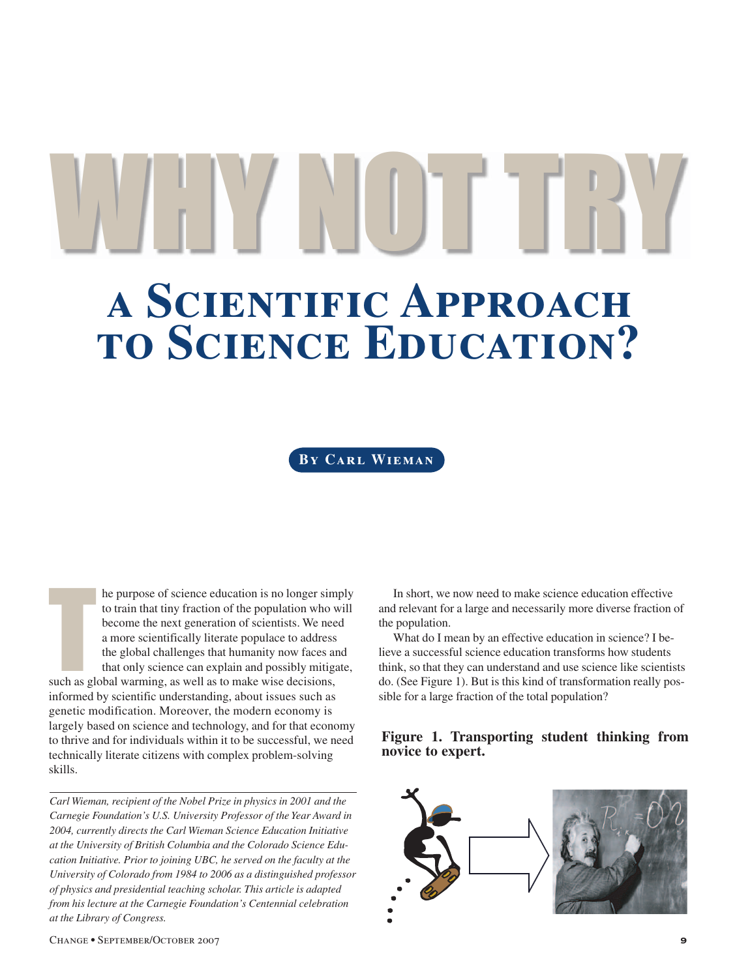**a Scientific Approach to Science Education?** WHY NOT TRYING

**By Carl Wieman**

he purpose of science education is no longer sim<br>to train that tiny fraction of the population who v<br>become the next generation of scientists. We nee<br>a more scientifically literate populace to address<br>the global challenges he purpose of science education is no longer simply to train that tiny fraction of the population who will become the next generation of scientists. We need a more scientifically literate populace to address the global challenges that humanity now faces and that only science can explain and possibly mitigate, informed by scientific understanding, about issues such as genetic modification. Moreover, the modern economy is largely based on science and technology, and for that economy to thrive and for individuals within it to be successful, we need technically literate citizens with complex problem-solving skills.

*Carl Wieman, recipient of the Nobel Prize in physics in 2001 and the Carnegie Foundation's U.S. University Professor of the Year Award in 2004, currently directs the Carl Wieman Science Education Initiative at the University of British Columbia and the Colorado Science Education Initiative. Prior to joining UBC, he served on the faculty at the University of Colorado from 1984 to 2006 as a distinguished professor of physics and presidential teaching scholar. This article is adapted from his lecture at the Carnegie Foundation's Centennial celebration at the Library of Congress.*

In short, we now need to make science education effective and relevant for a large and necessarily more diverse fraction of the population.

What do I mean by an effective education in science? I believe a successful science education transforms how students think, so that they can understand and use science like scientists do. (See Figure 1). But is this kind of transformation really possible for a large fraction of the total population?

## **Figure 1. Transporting student thinking from novice to expert.**

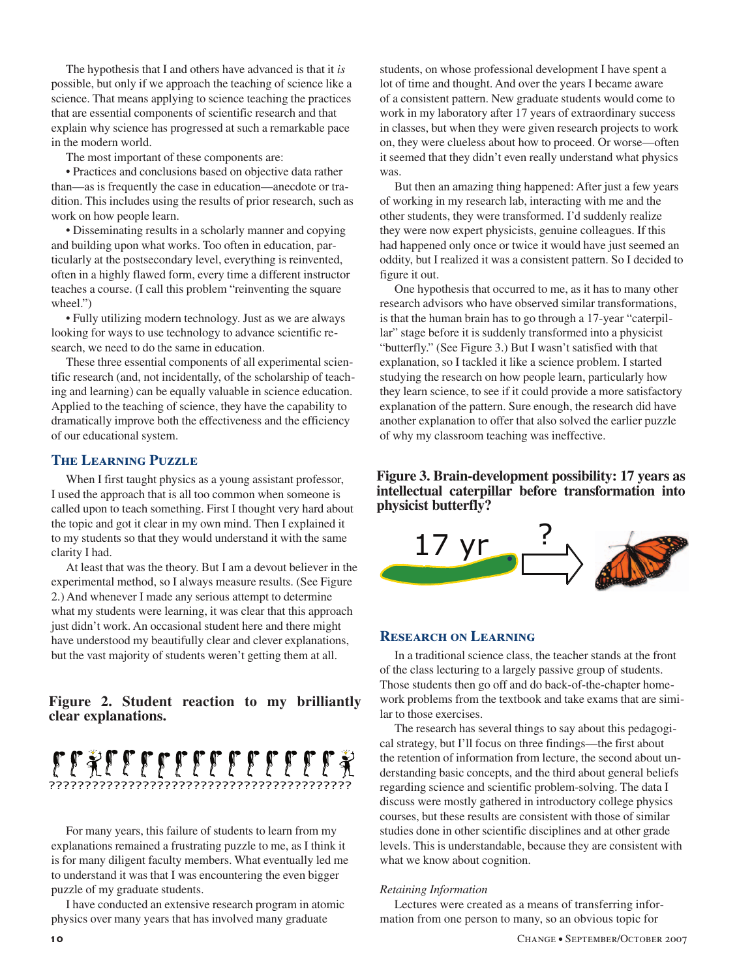The hypothesis that I and others have advanced is that it *is* possible, but only if we approach the teaching of science like a science. That means applying to science teaching the practices that are essential components of scientific research and that explain why science has progressed at such a remarkable pace in the modern world.

The most important of these components are:

• Practices and conclusions based on objective data rather than—as is frequently the case in education—anecdote or tradition. This includes using the results of prior research, such as work on how people learn.

• Disseminating results in a scholarly manner and copying and building upon what works. Too often in education, particularly at the postsecondary level, everything is reinvented, often in a highly flawed form, every time a different instructor teaches a course. (I call this problem "reinventing the square wheel.")

• Fully utilizing modern technology. Just as we are always looking for ways to use technology to advance scientific research, we need to do the same in education.

These three essential components of all experimental scientific research (and, not incidentally, of the scholarship of teaching and learning) can be equally valuable in science education. Applied to the teaching of science, they have the capability to dramatically improve both the effectiveness and the efficiency of our educational system.

### **The Learning Puzzle**

When I first taught physics as a young assistant professor, I used the approach that is all too common when someone is called upon to teach something. First I thought very hard about the topic and got it clear in my own mind. Then I explained it to my students so that they would understand it with the same clarity I had.

At least that was the theory. But I am a devout believer in the experimental method, so I always measure results. (See Figure 2.) And whenever I made any serious attempt to determine what my students were learning, it was clear that this approach just didn't work. An occasional student here and there might have understood my beautifully clear and clever explanations, but the vast majority of students weren't getting them at all.

## **Figure 2. Student reaction to my brilliantly clear explanations.**



For many years, this failure of students to learn from my explanations remained a frustrating puzzle to me, as I think it is for many diligent faculty members. What eventually led me to understand it was that I was encountering the even bigger puzzle of my graduate students.

I have conducted an extensive research program in atomic physics over many years that has involved many graduate

students, on whose professional development I have spent a lot of time and thought. And over the years I became aware of a consistent pattern. New graduate students would come to work in my laboratory after 17 years of extraordinary success in classes, but when they were given research projects to work on, they were clueless about how to proceed. Or worse—often it seemed that they didn't even really understand what physics was.

But then an amazing thing happened: After just a few years of working in my research lab, interacting with me and the other students, they were transformed. I'd suddenly realize they were now expert physicists, genuine colleagues. If this had happened only once or twice it would have just seemed an oddity, but I realized it was a consistent pattern. So I decided to figure it out.

One hypothesis that occurred to me, as it has to many other research advisors who have observed similar transformations, is that the human brain has to go through a 17-year "caterpillar" stage before it is suddenly transformed into a physicist "butterfly." (See Figure 3.) But I wasn't satisfied with that explanation, so I tackled it like a science problem. I started studying the research on how people learn, particularly how they learn science, to see if it could provide a more satisfactory explanation of the pattern. Sure enough, the research did have another explanation to offer that also solved the earlier puzzle of why my classroom teaching was ineffective.

**Figure 3. Brain-development possibility: 17 years as intellectual caterpillar before transformation into physicist butterfly?**



## **Research on Learning**

In a traditional science class, the teacher stands at the front of the class lecturing to a largely passive group of students. Those students then go off and do back-of-the-chapter homework problems from the textbook and take exams that are similar to those exercises.

The research has several things to say about this pedagogical strategy, but I'll focus on three findings—the first about the retention of information from lecture, the second about understanding basic concepts, and the third about general beliefs regarding science and scientific problem-solving. The data I discuss were mostly gathered in introductory college physics courses, but these results are consistent with those of similar studies done in other scientific disciplines and at other grade levels. This is understandable, because they are consistent with what we know about cognition.

#### *Retaining Information*

Lectures were created as a means of transferring information from one person to many, so an obvious topic for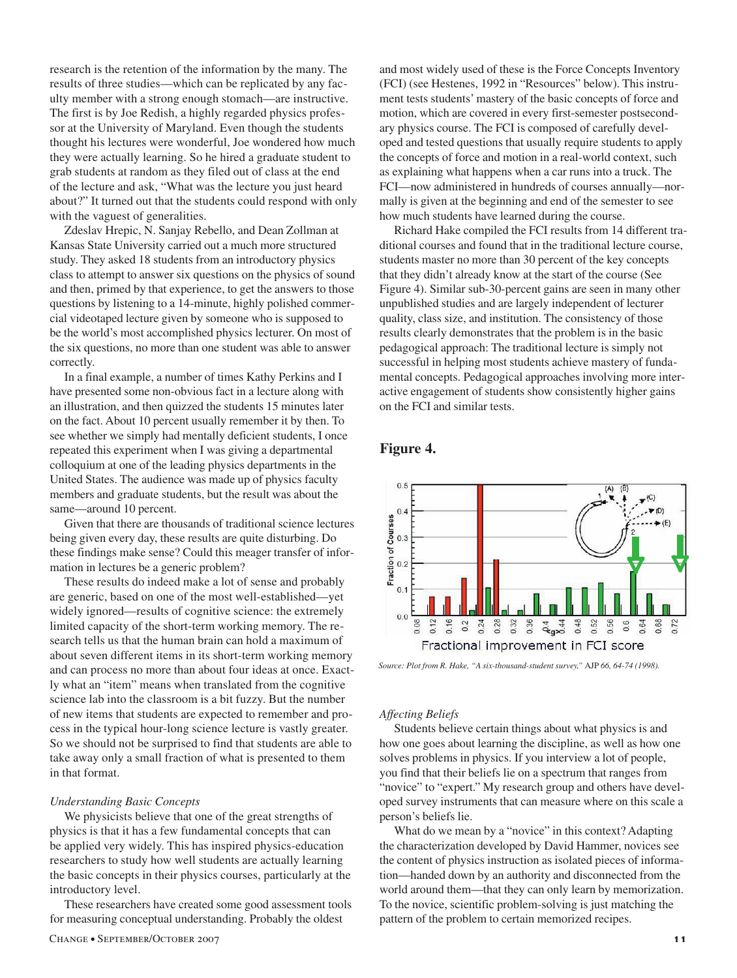research is the retention of the information by the many. The results of three studies—which can be replicated by any faculty member with a strong enough stomach—are instructive. The first is by Joe Redish, a highly regarded physics professor at the University of Maryland. Even though the students thought his lectures were wonderful, Joe wondered how much they were actually learning. So he hired a graduate student to grab students at random as they filed out of class at the end of the lecture and ask, "What was the lecture you just heard about?" It turned out that the students could respond with only with the vaguest of generalities.

Zdeslav Hrepic, N. Sanjay Rebello, and Dean Zollman at Kansas State University carried out a much more structured study. They asked 18 students from an introductory physics class to attempt to answer six questions on the physics of sound and then, primed by that experience, to get the answers to those questions by listening to a 14-minute, highly polished commercial videotaped lecture given by someone who is supposed to be the world's most accomplished physics lecturer. On most of the six questions, no more than one student was able to answer correctly.

In a final example, a number of times Kathy Perkins and I have presented some non-obvious fact in a lecture along with an illustration, and then quizzed the students 15 minutes later on the fact. About 10 percent usually remember it by then. To see whether we simply had mentally deficient students, I once repeated this experiment when I was giving a departmental colloquium at one of the leading physics departments in the United States. The audience was made up of physics faculty members and graduate students, but the result was about the same—around 10 percent.

Given that there are thousands of traditional science lectures being given every day, these results are quite disturbing. Do these findings make sense? Could this meager transfer of information in lectures be a generic problem?

These results do indeed make a lot of sense and probably are generic, based on one of the most well-established—yet widely ignored—results of cognitive science: the extremely limited capacity of the short-term working memory. The research tells us that the human brain can hold a maximum of about seven different items in its short-term working memory and can process no more than about four ideas at once. Exactly what an "item" means when translated from the cognitive science lab into the classroom is a bit fuzzy. But the number of new items that students are expected to remember and process in the typical hour-long science lecture is vastly greater. So we should not be surprised to find that students are able to take away only a small fraction of what is presented to them in that format.

#### *Understanding Basic Concepts*

We physicists believe that one of the great strengths of physics is that it has a few fundamental concepts that can be applied very widely. This has inspired physics-education researchers to study how well students are actually learning the basic concepts in their physics courses, particularly at the introductory level.

These researchers have created some good assessment tools for measuring conceptual understanding. Probably the oldest

and most widely used of these is the Force Concepts Inventory (FCI) (see Hestenes, 1992 in "Resources" below). This instrument tests students' mastery of the basic concepts of force and motion, which are covered in every first-semester postsecondary physics course. The FCI is composed of carefully developed and tested questions that usually require students to apply the concepts of force and motion in a real-world context, such as explaining what happens when a car runs into a truck. The FCI—now administered in hundreds of courses annually—normally is given at the beginning and end of the semester to see how much students have learned during the course.

Richard Hake compiled the FCI results from 14 different traditional courses and found that in the traditional lecture course, students master no more than 30 percent of the key concepts that they didn't already know at the start of the course (See Figure 4). Similar sub-30-percent gains are seen in many other unpublished studies and are largely independent of lecturer quality, class size, and institution. The consistency of those results clearly demonstrates that the problem is in the basic pedagogical approach: The traditional lecture is simply not successful in helping most students achieve mastery of fundamental concepts. Pedagogical approaches involving more interactive engagement of students show consistently higher gains on the FCI and similar tests.

### **Figure 4.**



*Source: Plot from R. Hake, "A six-thousand-student survey,"* AJP *66, 64-74 (1998).*

#### *Affecting Beliefs*

Students believe certain things about what physics is and how one goes about learning the discipline, as well as how one solves problems in physics. If you interview a lot of people, you find that their beliefs lie on a spectrum that ranges from "novice" to "expert." My research group and others have developed survey instruments that can measure where on this scale a person's beliefs lie.

What do we mean by a "novice" in this context? Adapting the characterization developed by David Hammer, novices see the content of physics instruction as isolated pieces of information—handed down by an authority and disconnected from the world around them—that they can only learn by memorization. To the novice, scientific problem-solving is just matching the pattern of the problem to certain memorized recipes.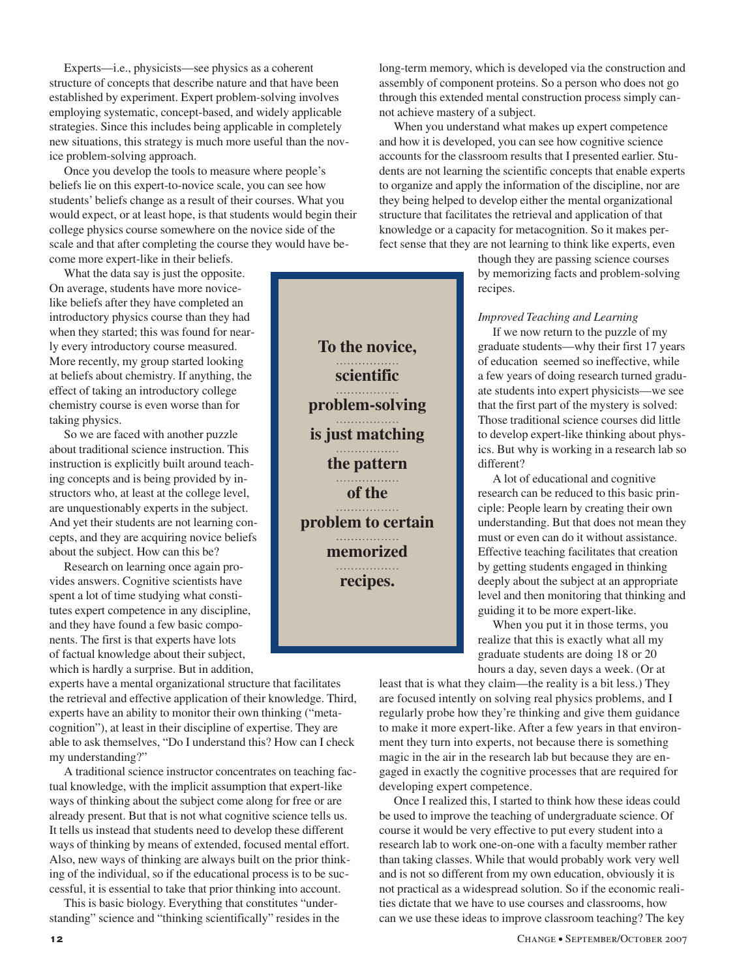Experts—i.e., physicists—see physics as a coherent structure of concepts that describe nature and that have been established by experiment. Expert problem-solving involves employing systematic, concept-based, and widely applicable strategies. Since this includes being applicable in completely new situations, this strategy is much more useful than the novice problem-solving approach.

Once you develop the tools to measure where people's beliefs lie on this expert-to-novice scale, you can see how students' beliefs change as a result of their courses. What you would expect, or at least hope, is that students would begin their college physics course somewhere on the novice side of the scale and that after completing the course they would have become more expert-like in their beliefs.

What the data say is just the opposite. On average, students have more novicelike beliefs after they have completed an introductory physics course than they had when they started; this was found for nearly every introductory course measured. More recently, my group started looking at beliefs about chemistry. If anything, the effect of taking an introductory college chemistry course is even worse than for taking physics.

So we are faced with another puzzle about traditional science instruction. This instruction is explicitly built around teaching concepts and is being provided by instructors who, at least at the college level, are unquestionably experts in the subject. And yet their students are not learning concepts, and they are acquiring novice beliefs about the subject. How can this be?

Research on learning once again provides answers. Cognitive scientists have spent a lot of time studying what constitutes expert competence in any discipline, and they have found a few basic components. The first is that experts have lots of factual knowledge about their subject, which is hardly a surprise. But in addition,

experts have a mental organizational structure that facilitates the retrieval and effective application of their knowledge. Third, experts have an ability to monitor their own thinking ("metacognition"), at least in their discipline of expertise. They are able to ask themselves, "Do I understand this? How can I check my understanding?"

A traditional science instructor concentrates on teaching factual knowledge, with the implicit assumption that expert-like ways of thinking about the subject come along for free or are already present. But that is not what cognitive science tells us. It tells us instead that students need to develop these different ways of thinking by means of extended, focused mental effort. Also, new ways of thinking are always built on the prior thinking of the individual, so if the educational process is to be successful, it is essential to take that prior thinking into account.

This is basic biology. Everything that constitutes "understanding" science and "thinking scientifically" resides in the

**scientific**  . . . . . . . . . . . . . **problem-solving is just matching**  . . . . . . . . . . . . . . . . . **the pattern**  . . . . . . . . . . . . . . . . . **of the**  . . . . . . . . . . . . . . . . . . . . . . . . . . . . . . . . . **memorized**  . . . . . . . . . . . . . . . . **recipes.**

long-term memory, which is developed via the construction and assembly of component proteins. So a person who does not go through this extended mental construction process simply cannot achieve mastery of a subject.

When you understand what makes up expert competence and how it is developed, you can see how cognitive science accounts for the classroom results that I presented earlier. Students are not learning the scientific concepts that enable experts to organize and apply the information of the discipline, nor are they being helped to develop either the mental organizational structure that facilitates the retrieval and application of that knowledge or a capacity for metacognition. So it makes perfect sense that they are not learning to think like experts, even

> though they are passing science courses by memorizing facts and problem-solving recipes.

#### *Improved Teaching and Learning*

If we now return to the puzzle of my graduate students—why their first 17 years of education seemed so ineffective, while a few years of doing research turned graduate students into expert physicists—we see that the first part of the mystery is solved: Those traditional science courses did little to develop expert-like thinking about physics. But why is working in a research lab so different?

A lot of educational and cognitive research can be reduced to this basic principle: People learn by creating their own understanding. But that does not mean they must or even can do it without assistance. Effective teaching facilitates that creation by getting students engaged in thinking deeply about the subject at an appropriate level and then monitoring that thinking and guiding it to be more expert-like.

When you put it in those terms, you realize that this is exactly what all my graduate students are doing 18 or 20 hours a day, seven days a week. (Or at

least that is what they claim—the reality is a bit less.) They are focused intently on solving real physics problems, and I regularly probe how they're thinking and give them guidance to make it more expert-like. After a few years in that environment they turn into experts, not because there is something magic in the air in the research lab but because they are engaged in exactly the cognitive processes that are required for developing expert competence.

Once I realized this, I started to think how these ideas could be used to improve the teaching of undergraduate science. Of course it would be very effective to put every student into a research lab to work one-on-one with a faculty member rather than taking classes. While that would probably work very well and is not so different from my own education, obviously it is not practical as a widespread solution. So if the economic realities dictate that we have to use courses and classrooms, how can we use these ideas to improve classroom teaching? The key

**To the novice, problem to certain**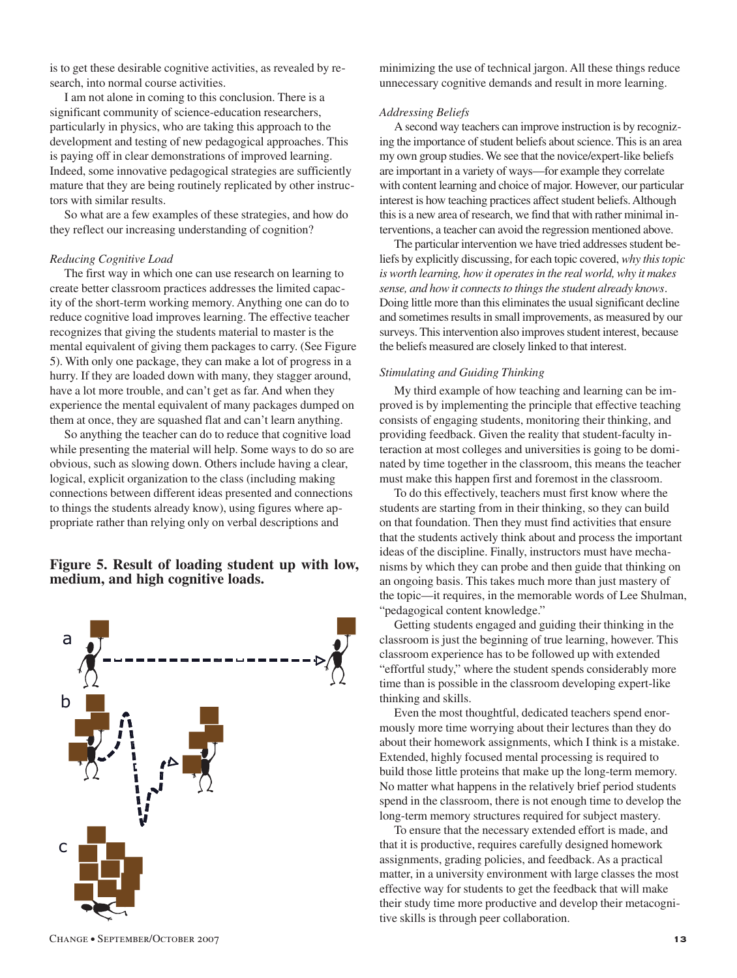is to get these desirable cognitive activities, as revealed by research, into normal course activities.

I am not alone in coming to this conclusion. There is a significant community of science-education researchers, particularly in physics, who are taking this approach to the development and testing of new pedagogical approaches. This is paying off in clear demonstrations of improved learning. Indeed, some innovative pedagogical strategies are sufficiently mature that they are being routinely replicated by other instructors with similar results.

So what are a few examples of these strategies, and how do they reflect our increasing understanding of cognition?

#### *Reducing Cognitive Load*

The first way in which one can use research on learning to create better classroom practices addresses the limited capacity of the short-term working memory. Anything one can do to reduce cognitive load improves learning. The effective teacher recognizes that giving the students material to master is the mental equivalent of giving them packages to carry. (See Figure 5). With only one package, they can make a lot of progress in a hurry. If they are loaded down with many, they stagger around, have a lot more trouble, and can't get as far. And when they experience the mental equivalent of many packages dumped on them at once, they are squashed flat and can't learn anything.

So anything the teacher can do to reduce that cognitive load while presenting the material will help. Some ways to do so are obvious, such as slowing down. Others include having a clear, logical, explicit organization to the class (including making connections between different ideas presented and connections to things the students already know), using figures where appropriate rather than relying only on verbal descriptions and

## **Figure 5. Result of loading student up with low, medium, and high cognitive loads.**



minimizing the use of technical jargon. All these things reduce unnecessary cognitive demands and result in more learning.

#### *Addressing Beliefs*

A second way teachers can improve instruction is by recognizing the importance of student beliefs about science. This is an area my own group studies. We see that the novice/expert-like beliefs are important in a variety of ways—for example they correlate with content learning and choice of major. However, our particular interest is how teaching practices affect student beliefs. Although this is a new area of research, we find that with rather minimal interventions, a teacher can avoid the regression mentioned above.

The particular intervention we have tried addresses student beliefs by explicitly discussing, for each topic covered, *why this topic is worth learning, how it operates in the real world, why it makes sense, and how it connects to things the student already knows*. Doing little more than this eliminates the usual significant decline and sometimes results in small improvements, as measured by our surveys. This intervention also improves student interest, because the beliefs measured are closely linked to that interest.

#### *Stimulating and Guiding Thinking*

My third example of how teaching and learning can be improved is by implementing the principle that effective teaching consists of engaging students, monitoring their thinking, and providing feedback. Given the reality that student-faculty interaction at most colleges and universities is going to be dominated by time together in the classroom, this means the teacher must make this happen first and foremost in the classroom.

To do this effectively, teachers must first know where the students are starting from in their thinking, so they can build on that foundation. Then they must find activities that ensure that the students actively think about and process the important ideas of the discipline. Finally, instructors must have mechanisms by which they can probe and then guide that thinking on an ongoing basis. This takes much more than just mastery of the topic—it requires, in the memorable words of Lee Shulman, "pedagogical content knowledge."

Getting students engaged and guiding their thinking in the classroom is just the beginning of true learning, however. This classroom experience has to be followed up with extended "effortful study," where the student spends considerably more time than is possible in the classroom developing expert-like thinking and skills.

Even the most thoughtful, dedicated teachers spend enormously more time worrying about their lectures than they do about their homework assignments, which I think is a mistake. Extended, highly focused mental processing is required to build those little proteins that make up the long-term memory. No matter what happens in the relatively brief period students spend in the classroom, there is not enough time to develop the long-term memory structures required for subject mastery.

To ensure that the necessary extended effort is made, and that it is productive, requires carefully designed homework assignments, grading policies, and feedback. As a practical matter, in a university environment with large classes the most effective way for students to get the feedback that will make their study time more productive and develop their metacognitive skills is through peer collaboration.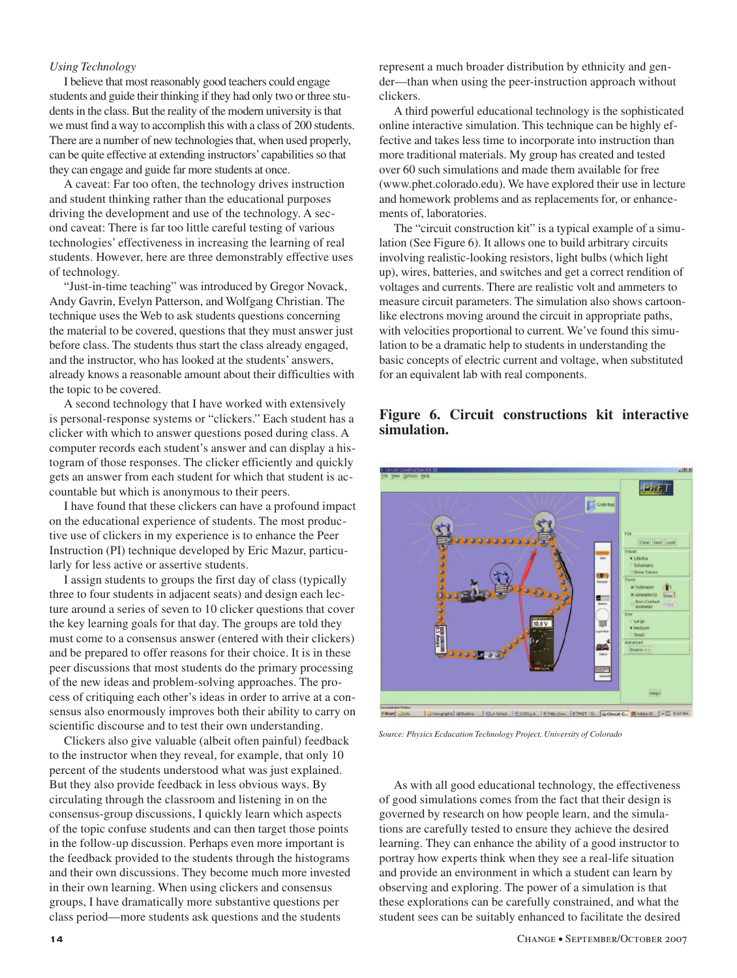#### *Using Technology*

I believe that most reasonably good teachers could engage students and guide their thinking if they had only two or three students in the class. But the reality of the modern university is that we must find a way to accomplish this with a class of 200 students. There are a number of new technologies that, when used properly, can be quite effective at extending instructors' capabilities so that they can engage and guide far more students at once.

A caveat: Far too often, the technology drives instruction and student thinking rather than the educational purposes driving the development and use of the technology. A second caveat: There is far too little careful testing of various technologies' effectiveness in increasing the learning of real students. However, here are three demonstrably effective uses of technology.

"Just-in-time teaching" was introduced by Gregor Novack, Andy Gavrin, Evelyn Patterson, and Wolfgang Christian. The technique uses the Web to ask students questions concerning the material to be covered, questions that they must answer just before class. The students thus start the class already engaged, and the instructor, who has looked at the students' answers, already knows a reasonable amount about their difficulties with the topic to be covered.

A second technology that I have worked with extensively is personal-response systems or "clickers." Each student has a clicker with which to answer questions posed during class. A computer records each student's answer and can display a histogram of those responses. The clicker efficiently and quickly gets an answer from each student for which that student is accountable but which is anonymous to their peers.

I have found that these clickers can have a profound impact on the educational experience of students. The most productive use of clickers in my experience is to enhance the Peer Instruction (PI) technique developed by Eric Mazur, particularly for less active or assertive students.

I assign students to groups the first day of class (typically three to four students in adjacent seats) and design each lecture around a series of seven to 10 clicker questions that cover the key learning goals for that day. The groups are told they must come to a consensus answer (entered with their clickers) and be prepared to offer reasons for their choice. It is in these peer discussions that most students do the primary processing of the new ideas and problem-solving approaches. The process of critiquing each other's ideas in order to arrive at a consensus also enormously improves both their ability to carry on scientific discourse and to test their own understanding.

Clickers also give valuable (albeit often painful) feedback to the instructor when they reveal, for example, that only 10 percent of the students understood what was just explained. But they also provide feedback in less obvious ways. By circulating through the classroom and listening in on the consensus-group discussions, I quickly learn which aspects of the topic confuse students and can then target those points in the follow-up discussion. Perhaps even more important is the feedback provided to the students through the histograms and their own discussions. They become much more invested in their own learning. When using clickers and consensus groups, I have dramatically more substantive questions per class period—more students ask questions and the students

represent a much broader distribution by ethnicity and gender—than when using the peer-instruction approach without clickers.

A third powerful educational technology is the sophisticated online interactive simulation. This technique can be highly effective and takes less time to incorporate into instruction than more traditional materials. My group has created and tested over 60 such simulations and made them available for free (www.phet.colorado.edu). We have explored their use in lecture and homework problems and as replacements for, or enhancements of, laboratories.

The "circuit construction kit" is a typical example of a simulation (See Figure 6). It allows one to build arbitrary circuits involving realistic-looking resistors, light bulbs (which light up), wires, batteries, and switches and get a correct rendition of voltages and currents. There are realistic volt and ammeters to measure circuit parameters. The simulation also shows cartoonlike electrons moving around the circuit in appropriate paths, with velocities proportional to current. We've found this simulation to be a dramatic help to students in understanding the basic concepts of electric current and voltage, when substituted for an equivalent lab with real components.

## **Figure 6. Circuit constructions kit interactive simulation.**



*Source: Physics Ecducation Technology Project, University of Colorado*

As with all good educational technology, the effectiveness of good simulations comes from the fact that their design is governed by research on how people learn, and the simulations are carefully tested to ensure they achieve the desired learning. They can enhance the ability of a good instructor to portray how experts think when they see a real-life situation and provide an environment in which a student can learn by observing and exploring. The power of a simulation is that these explorations can be carefully constrained, and what the student sees can be suitably enhanced to facilitate the desired